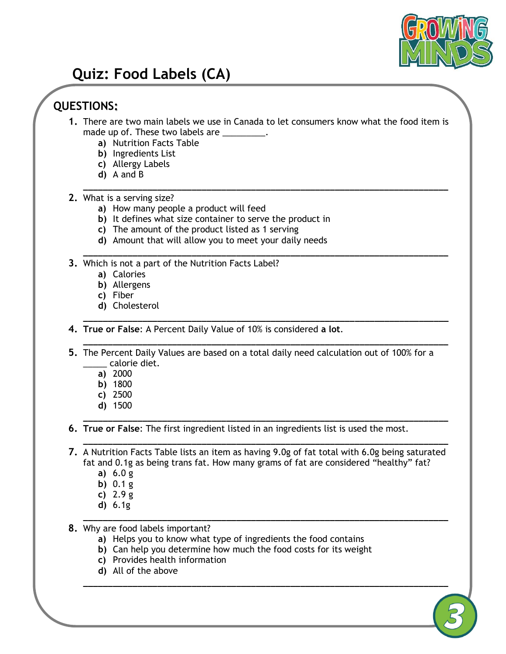

## **Quiz: Food Labels (CA)**

## **QUESTIONS:**

**1.** There are two main labels we use in Canada to let consumers know what the food item is made up of. These two labels are \_\_\_\_\_\_\_\_\_.

**\_\_\_\_\_\_\_\_\_\_\_\_\_\_\_\_\_\_\_\_\_\_\_\_\_\_\_\_\_\_\_\_\_\_\_\_\_\_\_\_\_\_\_\_\_\_\_\_\_\_\_\_\_\_\_\_\_\_\_\_\_\_\_\_\_\_\_\_\_\_\_\_\_\_**

**\_\_\_\_\_\_\_\_\_\_\_\_\_\_\_\_\_\_\_\_\_\_\_\_\_\_\_\_\_\_\_\_\_\_\_\_\_\_\_\_\_\_\_\_\_\_\_\_\_\_\_\_\_\_\_\_\_\_\_\_\_\_\_\_\_\_\_\_\_\_\_\_\_\_**

**\_\_\_\_\_\_\_\_\_\_\_\_\_\_\_\_\_\_\_\_\_\_\_\_\_\_\_\_\_\_\_\_\_\_\_\_\_\_\_\_\_\_\_\_\_\_\_\_\_\_\_\_\_\_\_\_\_\_\_\_\_\_\_\_\_\_\_\_\_\_\_\_\_\_**

**\_\_\_\_\_\_\_\_\_\_\_\_\_\_\_\_\_\_\_\_\_\_\_\_\_\_\_\_\_\_\_\_\_\_\_\_\_\_\_\_\_\_\_\_\_\_\_\_\_\_\_\_\_\_\_\_\_\_\_\_\_\_\_\_\_\_\_\_\_\_\_\_\_\_**

**\_\_\_\_\_\_\_\_\_\_\_\_\_\_\_\_\_\_\_\_\_\_\_\_\_\_\_\_\_\_\_\_\_\_\_\_\_\_\_\_\_\_\_\_\_\_\_\_\_\_\_\_\_\_\_\_\_\_\_\_\_\_\_\_\_\_\_\_\_\_\_\_\_\_**

**\_\_\_\_\_\_\_\_\_\_\_\_\_\_\_\_\_\_\_\_\_\_\_\_\_\_\_\_\_\_\_\_\_\_\_\_\_\_\_\_\_\_\_\_\_\_\_\_\_\_\_\_\_\_\_\_\_\_\_\_\_\_\_\_\_\_\_\_\_\_\_\_\_\_**

- **a)** Nutrition Facts Table
- **b)** Ingredients List
- **c)** Allergy Labels
- **d)** A and B
- **2.** What is a serving size?
	- **a)** How many people a product will feed
	- **b)** It defines what size container to serve the product in
	- **c)** The amount of the product listed as 1 serving
	- **d)** Amount that will allow you to meet your daily needs
- **3.** Which is not a part of the Nutrition Facts Label?
	- **a)** Calories
	- **b)** Allergens
	- **c)** Fiber
	- **d)** Cholesterol
- **4. True or False**: A Percent Daily Value of 10% is considered **a lot**.
- **5.** The Percent Daily Values are based on a total daily need calculation out of 100% for a \_\_\_\_\_ calorie diet.
	- **a)** 2000
	- **b)** 1800
	- **c)** 2500
	- **d)** 1500
- **6. True or False**: The first ingredient listed in an ingredients list is used the most.
- **\_\_\_\_\_\_\_\_\_\_\_\_\_\_\_\_\_\_\_\_\_\_\_\_\_\_\_\_\_\_\_\_\_\_\_\_\_\_\_\_\_\_\_\_\_\_\_\_\_\_\_\_\_\_\_\_\_\_\_\_\_\_\_\_\_\_\_\_\_\_\_\_\_\_ 7.** A Nutrition Facts Table lists an item as having 9.0g of fat total with 6.0g being saturated fat and 0.1g as being trans fat. How many grams of fat are considered "healthy" fat?
	- **a)** 6.0 g
	- **b)** 0.1 g
	- **c)** 2.9 g
	- **d)** 6.1g **\_\_\_\_\_\_\_\_\_\_\_\_\_\_\_\_\_\_\_\_\_\_\_\_\_\_\_\_\_\_\_\_\_\_\_\_\_\_\_\_\_\_\_\_\_\_\_\_\_\_\_\_\_\_\_\_\_\_\_\_\_\_\_\_\_\_\_\_\_\_\_\_\_\_**
- **8.** Why are food labels important?
	- **a)** Helps you to know what type of ingredients the food contains
	- **b)** Can help you determine how much the food costs for its weight
	- **c)** Provides health information
	- **d)** All of the above